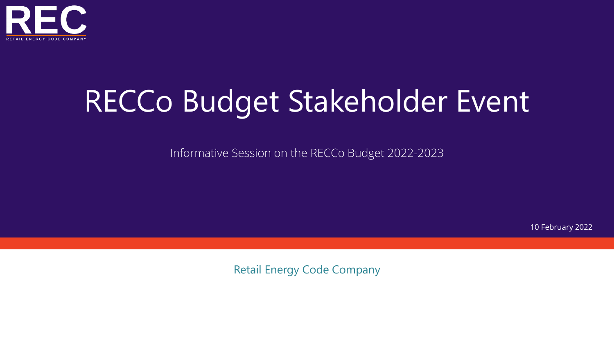

# RECCo Budget Stakeholder Event

Informative Session on the RECCo Budget 2022-2023

10 February 2022

Retail Energy Code Company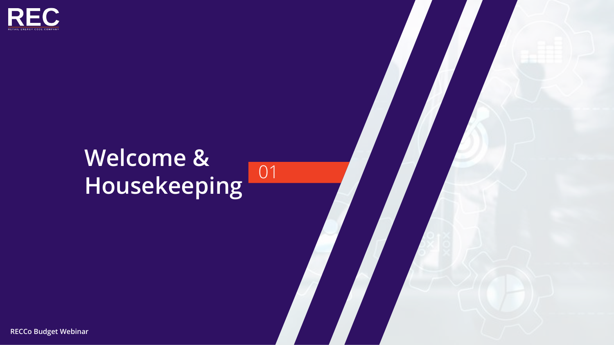

### **Welcome &**  Housekeeping 01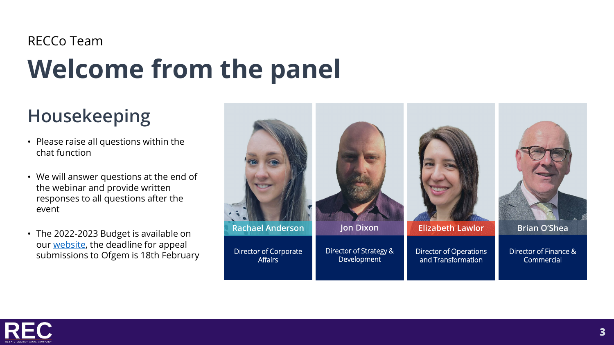### **Welcome from the panel** RECCo Team

### **Housekeeping**

- Please raise all questions within the chat function
- We will answer questions at the end of the webinar and provide written responses to all questions after the event
- The 2022-2023 Budget is available on our [website,](https://www.retailenergycode.co.uk/financial-budget-2022-23/) the deadline for appeal submissions to Ofgem is 18th February



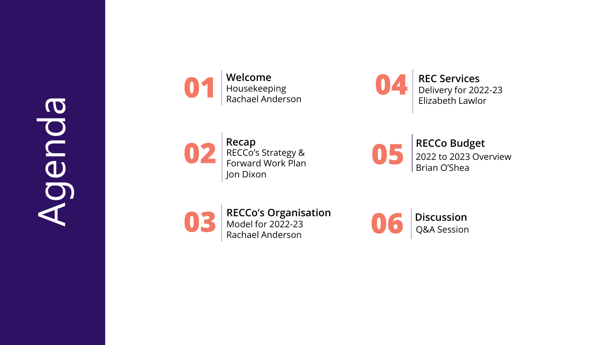

**Welcome** Housekeeping Rachael Anderson

04

**Recap** RECCo's Strategy & Forward Work Plan Jon Dixon

**RECCo Budget** 2022 to 2023 Overview Brian O'Shea

**REC Services** 

Delivery for 2022-23 Elizabeth Lawlor



**RECCo's Organisation** Model for 2022-23 Rachael Anderson

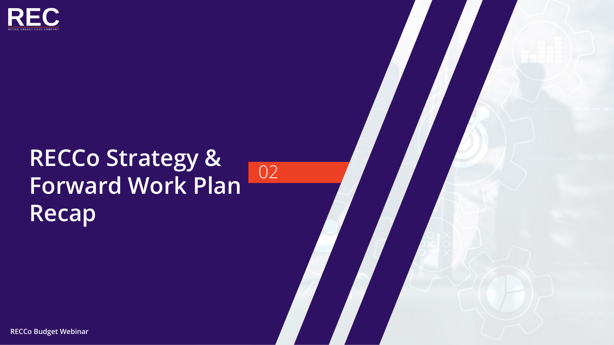

### **RECCo Strategy & Forward Work Plan Recap**

02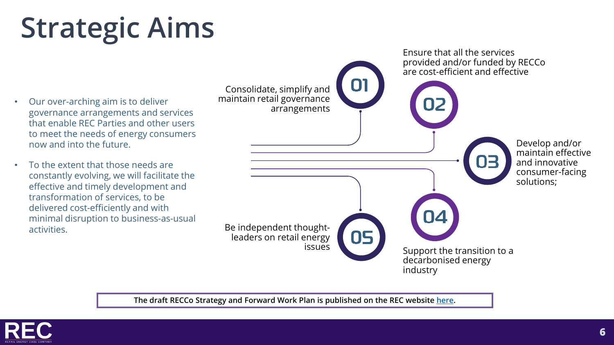# **Strategic Aims**

- Our over-arching aim is to deliver governance arrangements and services that enable REC Parties and other users to meet the needs of energy consumers now and into the future.
- To the extent that those needs are constantly evolving, we will facilitate the effective and timely development and transformation of services, to be delivered cost-efficiently and with minimal disruption to business-as-usual activities.



**The draft RECCo Strategy and Forward Work Plan is published on the REC website [here](https://www.retailenergycode.co.uk/extra/wp-content/uploads/2022/01/RECCo-Strategy-Finance-Document.pdf).**

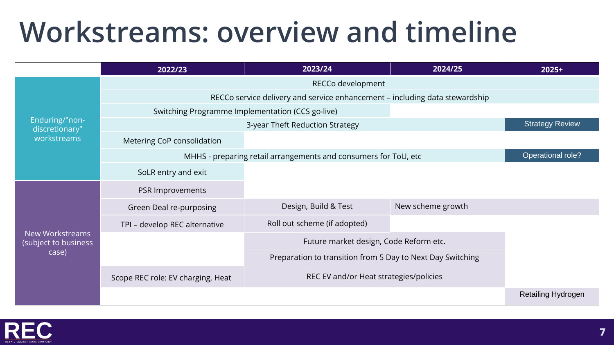### **Workstreams: overview and timeline**

|                                                  | 2022/23                                                                     | 2023/24                                                    | 2024/25           | $2025+$                   |
|--------------------------------------------------|-----------------------------------------------------------------------------|------------------------------------------------------------|-------------------|---------------------------|
|                                                  |                                                                             |                                                            |                   |                           |
|                                                  | RECCo service delivery and service enhancement - including data stewardship |                                                            |                   |                           |
|                                                  | Switching Programme Implementation (CCS go-live)                            |                                                            |                   |                           |
| Enduring/"non-<br>discretionary"                 |                                                                             | 3-year Theft Reduction Strategy                            |                   | <b>Strategy Review</b>    |
| workstreams                                      | Metering CoP consolidation                                                  |                                                            |                   |                           |
|                                                  | MHHS - preparing retail arrangements and consumers for ToU, etc             | Operational role?                                          |                   |                           |
|                                                  | SoLR entry and exit                                                         |                                                            |                   |                           |
| New Workstreams<br>(subject to business<br>case) | PSR Improvements                                                            |                                                            |                   |                           |
|                                                  | Green Deal re-purposing                                                     | Design, Build & Test                                       | New scheme growth |                           |
|                                                  | TPI - develop REC alternative                                               | Roll out scheme (if adopted)                               |                   |                           |
|                                                  |                                                                             | Future market design, Code Reform etc.                     |                   |                           |
|                                                  |                                                                             | Preparation to transition from 5 Day to Next Day Switching |                   |                           |
|                                                  | Scope REC role: EV charging, Heat                                           | REC EV and/or Heat strategies/policies                     |                   |                           |
|                                                  |                                                                             |                                                            |                   | <b>Retailing Hydrogen</b> |

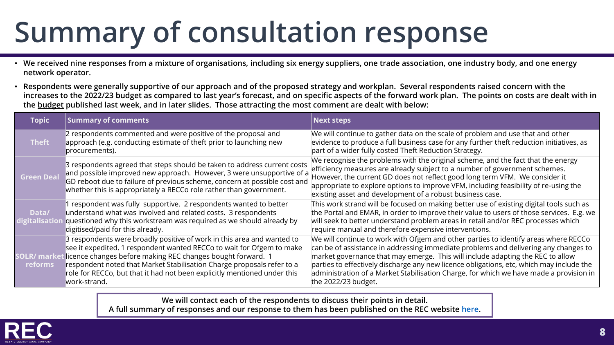## **Summary of consultation response**

- **We received nine responses from a mixture of organisations, including six energy suppliers, one trade association, one industry body, and one energy network operator.**
- **Respondents were generally supportive of our approach and of the proposed strategy and workplan. Several respondents raised concern with the increases to the 2022/23 budget as compared to last year's forecast, and on specific aspects of the forward work plan. The points on costs are dealt with in the [budget](many%20respondents%20are%20supportive%20of%20the%20general%20approach%20and%20intention%20of%20RECCo’s%20work%20and%20strategy.%20Respondents%20raised%20a%20number%20of%20points,%20including%20questions%20around%20the%20increased%20costs%20in%20the%20budget%20since%20last%20year’s%20forecast) published last week, and in later slides. Those attracting the most comment are dealt with below:**

| <b>Topic</b>                          | <b>Summary of comments</b>                                                                                                                                                                                                                                                                                                                                                           | <b>Next steps</b>                                                                                                                                                                                                                                                                                                                                                                                                                                                         |
|---------------------------------------|--------------------------------------------------------------------------------------------------------------------------------------------------------------------------------------------------------------------------------------------------------------------------------------------------------------------------------------------------------------------------------------|---------------------------------------------------------------------------------------------------------------------------------------------------------------------------------------------------------------------------------------------------------------------------------------------------------------------------------------------------------------------------------------------------------------------------------------------------------------------------|
| <b>Theft</b>                          | 2 respondents commented and were positive of the proposal and<br>approach (e.g. conducting estimate of theft prior to launching new<br>procurements).                                                                                                                                                                                                                                | We will continue to gather data on the scale of problem and use that and other<br>evidence to produce a full business case for any further theft reduction initiatives, as<br>part of a wider fully costed Theft Reduction Strategy.                                                                                                                                                                                                                                      |
| <b>Green Deal</b>                     | 3 respondents agreed that steps should be taken to address current costs<br>and possible improved new approach. However, 3 were unsupportive of a<br>GD reboot due to failure of previous scheme, concern at possible cost and<br>whether this is appropriately a RECCo role rather than government.                                                                                 | We recognise the problems with the original scheme, and the fact that the energy<br>efficiency measures are already subject to a number of government schemes.<br>However, the current GD does not reflect good long term VFM. We consider it<br>appropriate to explore options to improve VFM, including feasibility of re-using the<br>existing asset and development of a robust business case.                                                                        |
| Data/<br>digitalisatior               | 1 respondent was fully supportive. 2 respondents wanted to better<br>understand what was involved and related costs. 3 respondents<br>questioned why this workstream was required as we should already by<br>digitised/paid for this already.                                                                                                                                        | This work strand will be focused on making better use of existing digital tools such as<br>the Portal and EMAR, in order to improve their value to users of those services. E.g. we<br>will seek to better understand problem areas in retail and/or REC processes which<br>require manual and therefore expensive interventions.                                                                                                                                         |
| <b>SOLR/ market</b><br><b>reforms</b> | 3 respondents were broadly positive of work in this area and wanted to<br>see it expedited. 1 respondent wanted RECCo to wait for Ofgem to make<br>licence changes before making REC changes bought forward. 1<br>respondent noted that Market Stabilisation Charge proposals refer to a<br>role for RECCo, but that it had not been explicitly mentioned under this<br>work-strand. | We will continue to work with Ofgem and other parties to identify areas where RECCo<br>can be of assistance in addressing immediate problems and delivering any changes to<br>market governance that may emerge. This will include adapting the REC to allow<br>parties to effectively discharge any new licence obligations, etc, which may include the<br>administration of a Market Stabilisation Charge, for which we have made a provision in<br>the 2022/23 budget. |

**We will contact each of the respondents to discuss their points in detail.** 

**A full summary of responses and our response to them has been published on the REC website [here.](https://www.retailenergycode.co.uk/extra/wp-content/uploads/2022/02/Response-v2.pdf)**

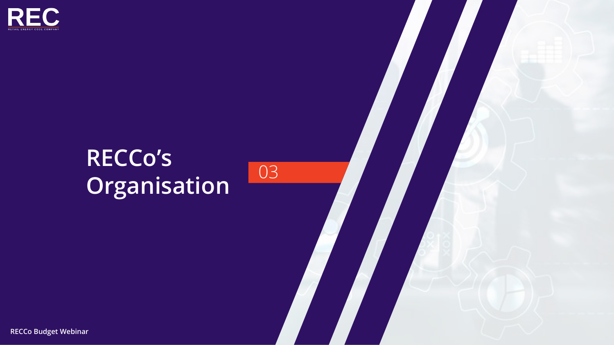

### **RECCo's Organisation** 03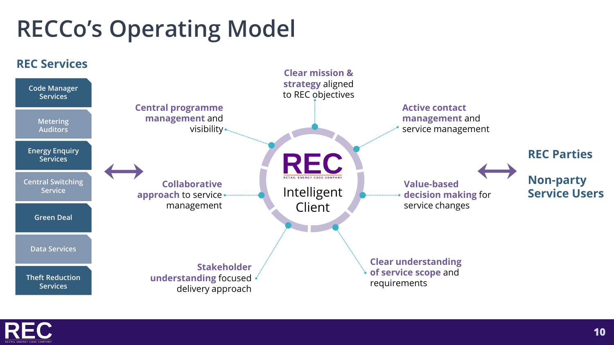### **RECCo's Operating Model**



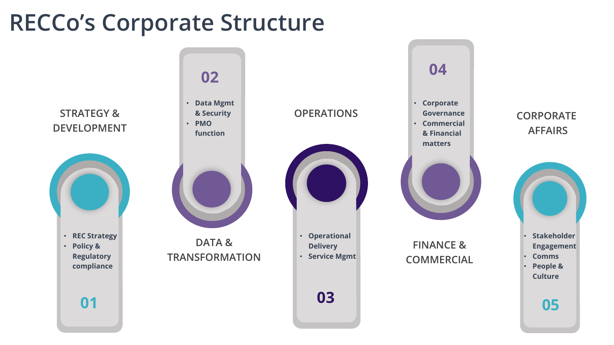### **RECCo's Corporate Structure**

**STRATEGY & DEVELOPMENT**



#### **02**

• **Data Mgmt & Security**  • **PMO** 





**DATA & TRANSFORMATION**



• **Operational Delivery**  • **Service Mgmt**

**03**



**FINANCE & COMMERCIAL**

#### **CORPORATE AFFAIRS**



**05**

**01**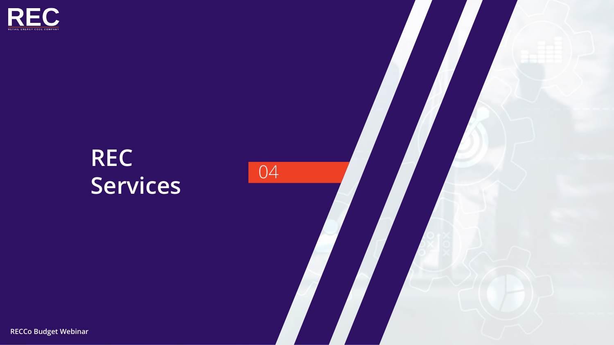

### **REC** Services 04

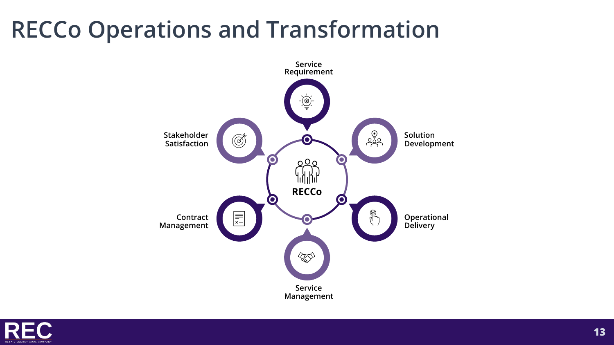### **RECCo Operations and Transformation**



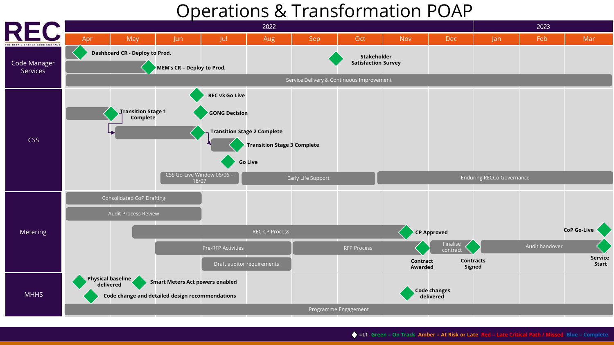### Operations & Transformation POAP

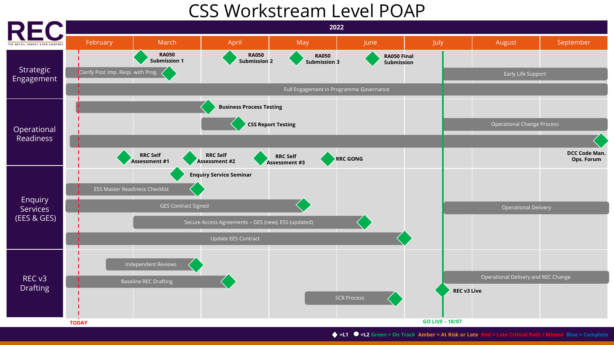### CSS Workstream Level POAP

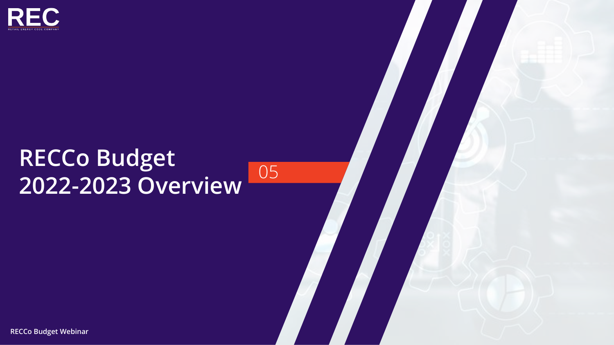

### **RECCo Budget 2022-2023 Overview** <sup>05</sup>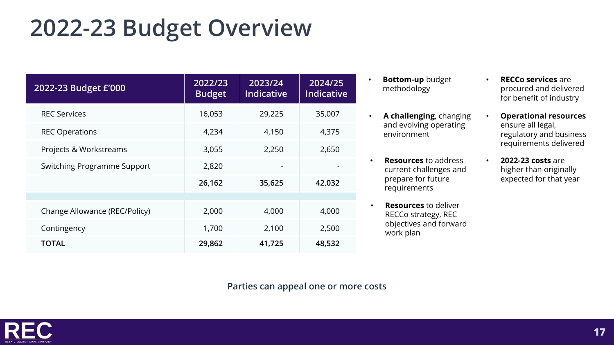### **2022-23 Budget Overview**

| 2022-23 Budget £'000          | 2022/23<br><b>Budget</b> | 2023/24<br><b>Indicative</b> | 2024/25<br><b>Indicative</b> |
|-------------------------------|--------------------------|------------------------------|------------------------------|
| <b>REC Services</b>           | 16,053                   | 29,225                       | 35,007                       |
| <b>REC Operations</b>         | 4,234                    | 4,150                        | 4,375                        |
| Projects & Workstreams        | 3,055                    | 2,250                        | 2,650                        |
| Switching Programme Support   | 2,820                    |                              |                              |
|                               | 26,162                   | 35,625                       | 42,032                       |
|                               |                          |                              |                              |
| Change Allowance (REC/Policy) | 2,000                    | 4,000                        | 4,000                        |
| Contingency                   | 1,700                    | 2,100                        | 2,500                        |
| <b>TOTAL</b>                  | 29,862                   | 41,725                       | 48,532                       |

- **Bottom-up** budget methodology
- **A challenging**, changing and evolving operating environment
- **Resources** to address current challenges and prepare for future requirements
- **Resources** to deliver RECCo strategy, REC objectives and forward work plan
- **RECCo services** are procured and delivered for benefit of industry
- **Operational resources**  ensure all legal, regulatory and business requirements delivered
- **2022-23 costs** are higher than originally expected for that year

**Parties can appeal one or more costs**

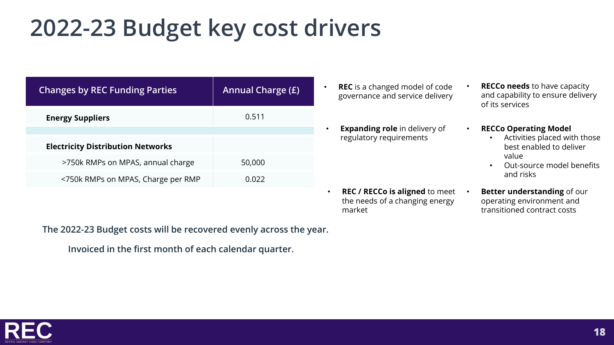### **2022-23 Budget key cost drivers**

| <b>Changes by REC Funding Parties</b>    | <b>Annual Charge (£)</b> |
|------------------------------------------|--------------------------|
| <b>Energy Suppliers</b>                  | 0.511                    |
|                                          |                          |
| <b>Electricity Distribution Networks</b> |                          |
| >750k RMPs on MPAS, annual charge        | 50,000                   |
| <750k RMPs on MPAS, Charge per RMP       | 0.022                    |

- **REC** is a changed model of code governance and service delivery
- **Expanding role** in delivery of regulatory requirements

the needs of a changing energy

market

- **RECCo needs** to have capacity and capability to ensure delivery of its services
- **RECCo Operating Model** 
	- Activities placed with those best enabled to deliver value
	- Out-source model benefits and risks
- **REC / RECCo is aligned** to meet • **Better understanding** of our operating environment and transitioned contract costs

**The 2022-23 Budget costs will be recovered evenly across the year.** 

**Invoiced in the first month of each calendar quarter.**

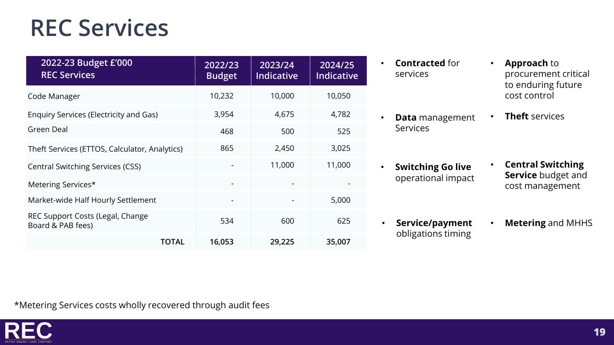### **REC Services**

| 2022-23 Budget £'000<br><b>REC Services</b>           | 2022/23<br><b>Budget</b> | 2023/24<br>Indicative | 2024/25<br><b>Indicative</b> |
|-------------------------------------------------------|--------------------------|-----------------------|------------------------------|
| Code Manager                                          | 10,232                   | 10,000                | 10,050                       |
| <b>Enquiry Services (Electricity and Gas)</b>         | 3,954                    | 4,675                 | 4,782                        |
| Green Deal                                            | 468                      | 500                   | 525                          |
| Theft Services (ETTOS, Calculator, Analytics)         | 865                      | 2,450                 | 3,025                        |
| <b>Central Switching Services (CSS)</b>               |                          | 11,000                | 11,000                       |
| Metering Services*                                    |                          |                       |                              |
| Market-wide Half Hourly Settlement                    |                          |                       | 5,000                        |
| REC Support Costs (Legal, Change<br>Board & PAB fees) | 534                      | 600                   | 625                          |
| <b>TOTAL</b>                                          | 16,053                   | 29,225                | 35,007                       |

- **Contracted** for services
- **Data** management Services
- **Switching Go live**  operational impact
- **Service/payment** obligations timing
- **Approach** to procurement critical to enduring future cost control
- **Theft** services

- **Central Switching Service** budget and cost management
- **Metering** and MHHS

\*Metering Services costs wholly recovered through audit fees

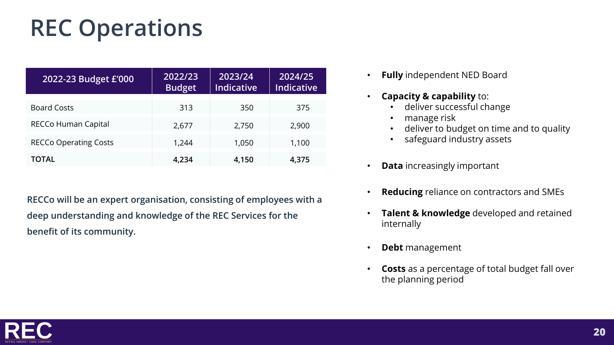### **REC Operations**

| 2022-23 Budget £'000         | 2022/23<br><b>Budget</b> | 2023/24<br><b>Indicative</b> | 2024/25<br><b>Indicative</b> |
|------------------------------|--------------------------|------------------------------|------------------------------|
| <b>Board Costs</b>           | 313                      | 350                          | 375                          |
| RECCo Human Capital          | 2,677                    | 2,750                        | 2,900                        |
| <b>RECCo Operating Costs</b> | 1,244                    | 1,050                        | 1,100                        |
| <b>TOTAL</b>                 | 4,234                    | 4,150                        | 4,375                        |

**RECCo will be an expert organisation, consisting of employees with a deep understanding and knowledge of the REC Services for the benefit of its community.**

- **Fully** independent NED Board
- **Capacity & capability** to:
	- deliver successful change
	- manage risk
	- deliver to budget on time and to quality
	- safeguard industry assets
- **Data** increasingly important
- **Reducing** reliance on contractors and SMEs
- **Talent & knowledge** developed and retained internally
- **Debt** management
- **Costs** as a percentage of total budget fall over the planning period

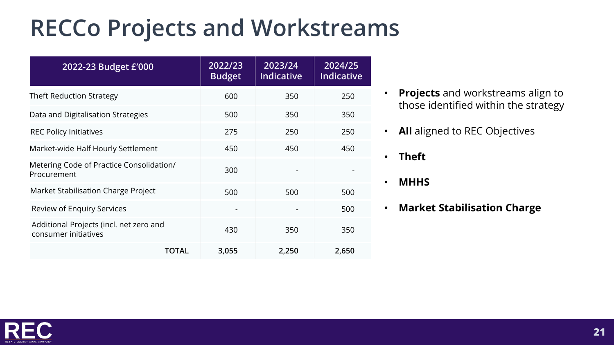### **RECCo Projects and Workstreams**

| 2022-23 Budget £'000                                            | 2022/23<br><b>Budget</b> | 2023/24<br><b>Indicative</b> | 2024/25<br><b>Indicative</b> |
|-----------------------------------------------------------------|--------------------------|------------------------------|------------------------------|
| <b>Theft Reduction Strategy</b>                                 | 600                      | 350                          | 250                          |
| Data and Digitalisation Strategies                              | 500                      | 350                          | 350                          |
| <b>REC Policy Initiatives</b>                                   | 275                      | 250                          | 250                          |
| Market-wide Half Hourly Settlement                              | 450                      | 450                          | 450                          |
| Metering Code of Practice Consolidation/<br>Procurement         | 300                      |                              |                              |
| Market Stabilisation Charge Project                             | 500                      | 500                          | 500                          |
| <b>Review of Enquiry Services</b>                               |                          |                              | 500                          |
| Additional Projects (incl. net zero and<br>consumer initiatives | 430                      | 350                          | 350                          |
| TOTAL                                                           | 3,055                    | 2,250                        | 2,650                        |

- **Projects** and workstreams align to those identified within the strategy
- **All** aligned to REC Objectives

• **Theft**

- **MHHS**
- **Market Stabilisation Charge**

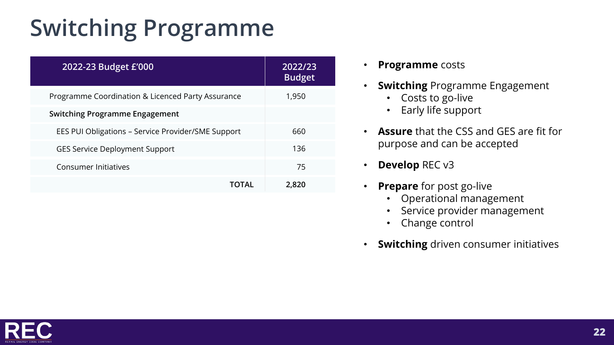### **Switching Programme**

| 2022-23 Budget £'000                               | 2022/23<br><b>Budget</b> |
|----------------------------------------------------|--------------------------|
| Programme Coordination & Licenced Party Assurance  | 1,950                    |
| <b>Switching Programme Engagement</b>              |                          |
| EES PUI Obligations - Service Provider/SME Support | 660                      |
| <b>GES Service Deployment Support</b>              | 136                      |
| <b>Consumer Initiatives</b>                        | 75                       |
| TOTAL                                              | 2,820                    |

- **Programme** costs
- **Switching** Programme Engagement
	- Costs to go-live
	- Early life support
- **Assure** that the CSS and GES are fit for purpose and can be accepted
- **Develop** REC v3
- **Prepare** for post go-live
	- Operational management
	- Service provider management
	- Change control
- **Switching** driven consumer initiatives

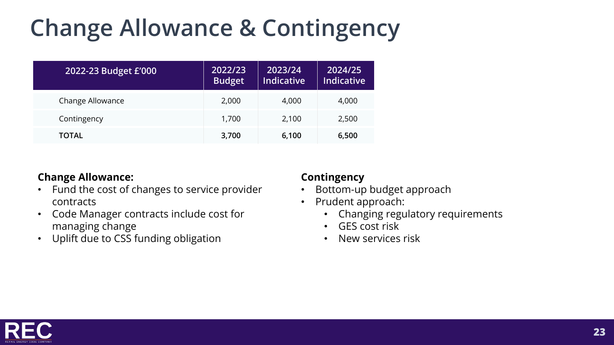### **Change Allowance & Contingency**

| 2022-23 Budget £'000 | 2022/23<br><b>Budget</b> | 2023/24<br><b>Indicative</b> | 2024/25<br><b>Indicative</b> |
|----------------------|--------------------------|------------------------------|------------------------------|
| Change Allowance     | 2,000                    | 4,000                        | 4,000                        |
| Contingency          | 1,700                    | 2,100                        | 2,500                        |
| <b>TOTAL</b>         | 3,700                    | 6,100                        | 6,500                        |

#### **Change Allowance:**

- Fund the cost of changes to service provider contracts
- Code Manager contracts include cost for managing change
- Uplift due to CSS funding obligation

#### **Contingency**

- Bottom-up budget approach
- Prudent approach:
	- Changing regulatory requirements
	- GES cost risk
	- New services risk

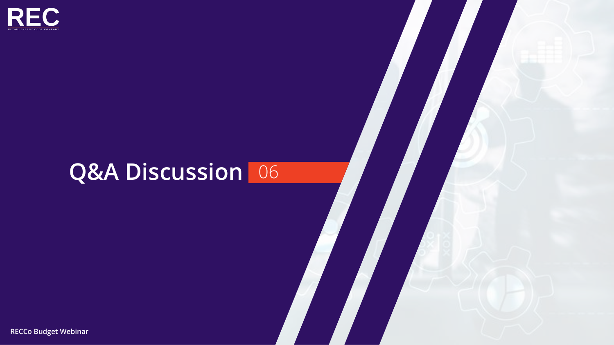

### **Q&A Discussion** 06